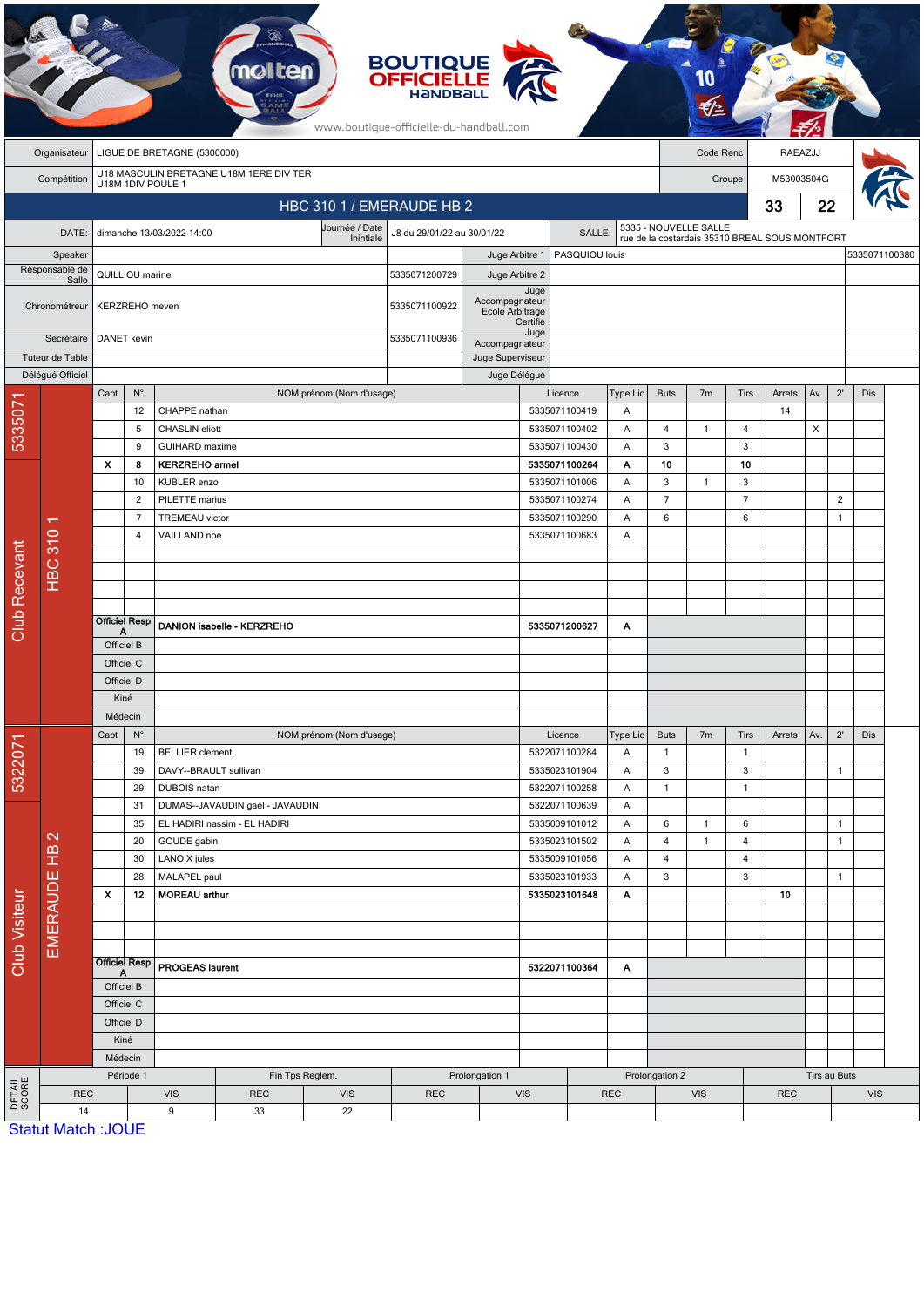|                           |                                                                             |                                  |                          |                                                                             |                              |                             | <b>BOUTIQUE</b><br><b>OFFICIELLE</b><br>HANDBALL<br>www.boutique-officielle-du-handball.com |                                   |                                            |                          |                          |                                                                         |                   |                          |                                |              |               |     |  |
|---------------------------|-----------------------------------------------------------------------------|----------------------------------|--------------------------|-----------------------------------------------------------------------------|------------------------------|-----------------------------|---------------------------------------------------------------------------------------------|-----------------------------------|--------------------------------------------|--------------------------|--------------------------|-------------------------------------------------------------------------|-------------------|--------------------------|--------------------------------|--------------|---------------|-----|--|
|                           | Organisateur                                                                | LIGUE DE BRETAGNE (5300000)      |                          |                                                                             |                              |                             |                                                                                             |                                   |                                            |                          | Code Renc                |                                                                         |                   | RAEAZJJ                  |                                |              |               |     |  |
|                           | U18 MASCULIN BRETAGNE U18M 1ERE DIV TER<br>Compétition<br>U18M 1DIV POULE 1 |                                  |                          |                                                                             |                              |                             |                                                                                             |                                   |                                            |                          |                          |                                                                         | Groupe            |                          |                                | M53003504G   |               |     |  |
| HBC 310 1 / EMERAUDE HB 2 |                                                                             |                                  |                          |                                                                             |                              |                             |                                                                                             |                                   |                                            |                          |                          |                                                                         |                   |                          | 33                             | 22           |               |     |  |
|                           | DATE:                                                                       |                                  |                          | dimanche 13/03/2022 14:00                                                   |                              | Journée / Date<br>Inintiale | J8 du 29/01/22 au 30/01/22                                                                  |                                   | SALLE:                                     |                          |                          | 5335 - NOUVELLE SALLE<br>rue de la costardais 35310 BREAL SOUS MONTFORT |                   |                          |                                |              |               |     |  |
|                           | Speaker                                                                     |                                  |                          |                                                                             |                              |                             |                                                                                             | PASQUIOU louis<br>Juge Arbitre 1  |                                            |                          |                          |                                                                         |                   |                          |                                |              | 5335071100380 |     |  |
| Responsable de            |                                                                             | QUILLIOU marine                  |                          |                                                                             |                              |                             | 5335071200729                                                                               | Juge Arbitre 2                    |                                            |                          |                          |                                                                         |                   |                          |                                |              |               |     |  |
|                           | Salle<br>Chronométreur                                                      | KERZREHO meven                   |                          |                                                                             |                              |                             | 5335071100922                                                                               | Accompagnateur<br>Ecole Arbitrage | Juge<br>Certifié                           |                          |                          |                                                                         |                   |                          |                                |              |               |     |  |
|                           | Secrétaire<br>Tuteur de Table                                               | DANET kevin                      |                          |                                                                             |                              |                             | 5335071100936                                                                               |                                   | Juge<br>Accompagnateur<br>Juge Superviseur |                          |                          |                                                                         |                   |                          |                                |              |               |     |  |
|                           | Délégué Officiel                                                            |                                  |                          |                                                                             |                              |                             |                                                                                             | Juge Délégué                      |                                            |                          |                          |                                                                         |                   |                          |                                |              |               |     |  |
| 5335071                   |                                                                             | Capt                             | $\mathsf{N}^\circ$<br>12 | CHAPPE nathan                                                               |                              | NOM prénom (Nom d'usage)    |                                                                                             |                                   |                                            | Licence<br>5335071100419 | Type Lic<br>A            | <b>Buts</b>                                                             | 7 <sub>m</sub>    | <b>Tirs</b>              | Arrets<br>14                   | Av.          | $2^{\prime}$  | Dis |  |
|                           |                                                                             |                                  | 5                        | <b>CHASLIN</b> eliott                                                       |                              |                             |                                                                                             |                                   |                                            | 5335071100402            | Α                        | $\overline{4}$                                                          | $\mathbf{1}$      | $\overline{4}$           |                                | X            |               |     |  |
|                           |                                                                             |                                  | 9                        | <b>GUIHARD</b> maxime                                                       |                              |                             |                                                                                             |                                   |                                            | 5335071100430            | A                        | 3                                                                       |                   | 3                        |                                |              |               |     |  |
|                           |                                                                             | X                                | 8                        | <b>KERZREHO</b> armel                                                       |                              |                             |                                                                                             |                                   |                                            | 5335071100264            | Α                        | 10                                                                      |                   | 10                       |                                |              |               |     |  |
|                           |                                                                             |                                  | 10                       | KUBLER enzo                                                                 |                              |                             |                                                                                             |                                   |                                            | 5335071101006            | Α                        | $\mathbf{3}$                                                            | $\mathbf{1}$      | 3                        |                                |              |               |     |  |
|                           |                                                                             | $\overline{2}$<br>$\overline{7}$ |                          | PILETTE marius                                                              |                              |                             |                                                                                             | 5335071100274<br>5335071100290    | A<br>Α                                     | $\overline{7}$<br>6      |                          | $\overline{7}$<br>6                                                     |                   |                          | $\overline{2}$<br>$\mathbf{1}$ |              |               |     |  |
|                           |                                                                             |                                  | 4                        | VAILLAND noe                                                                | <b>TREMEAU</b> victor        |                             |                                                                                             |                                   |                                            | 5335071100683            | A                        |                                                                         |                   |                          |                                |              |               |     |  |
|                           | <b>HBC 310</b>                                                              |                                  |                          |                                                                             |                              |                             |                                                                                             |                                   |                                            |                          |                          |                                                                         |                   |                          |                                |              |               |     |  |
|                           |                                                                             |                                  |                          |                                                                             |                              |                             |                                                                                             |                                   |                                            |                          |                          |                                                                         |                   |                          |                                |              |               |     |  |
|                           |                                                                             |                                  |                          |                                                                             |                              |                             |                                                                                             |                                   |                                            |                          |                          |                                                                         |                   |                          |                                |              |               |     |  |
| <b>Club Recevant</b>      |                                                                             |                                  | <b>Officiel Resp</b>     |                                                                             |                              |                             |                                                                                             |                                   |                                            |                          |                          |                                                                         |                   |                          |                                |              |               |     |  |
|                           |                                                                             | А                                |                          |                                                                             | DANION isabelle - KERZREHO   |                             |                                                                                             |                                   |                                            | 5335071200627            | Α                        |                                                                         |                   |                          |                                |              |               |     |  |
|                           |                                                                             | Officiel B<br>Officiel C         |                          |                                                                             |                              |                             |                                                                                             |                                   |                                            |                          |                          |                                                                         |                   |                          |                                |              |               |     |  |
|                           |                                                                             | Officiel D                       |                          |                                                                             |                              |                             |                                                                                             |                                   |                                            |                          |                          |                                                                         |                   |                          |                                |              |               |     |  |
|                           |                                                                             | Kiné                             |                          |                                                                             |                              |                             |                                                                                             |                                   |                                            |                          |                          |                                                                         |                   |                          |                                |              |               |     |  |
|                           |                                                                             | Médecin                          |                          |                                                                             |                              |                             |                                                                                             |                                   |                                            |                          |                          |                                                                         |                   |                          |                                |              |               |     |  |
|                           | $\mathbf{\Omega}$<br><b>EMERAUDE HB</b>                                     | Capt                             | $\mathsf{N}^\circ$       |                                                                             |                              | NOM prénom (Nom d'usage)    |                                                                                             |                                   |                                            | Licence                  | Type Lic                 | <b>Buts</b>                                                             | 7 <sub>m</sub>    | Tirs                     | Arrets                         | Av.          | $2^{\prime}$  | Dis |  |
| 5322071                   |                                                                             |                                  | 19                       | <b>BELLIER</b> clement<br>39<br>DAVY--BRAULT sullivan<br>29<br>DUBOIS natan |                              |                             |                                                                                             |                                   | 5322071100284                              | Α                        | $\mathbf{1}$             |                                                                         | $\mathbf{1}$      |                          |                                |              |               |     |  |
|                           |                                                                             |                                  |                          |                                                                             |                              |                             |                                                                                             |                                   | 5335023101904<br>5322071100258             | Α<br>Α                   | 3<br>$\mathbf{1}$        |                                                                         | 3<br>$\mathbf{1}$ |                          |                                | $\mathbf{1}$ |               |     |  |
| <b>Club Visiteur</b>      |                                                                             |                                  | 31                       | DUMAS--JAVAUDIN gael - JAVAUDIN                                             |                              |                             |                                                                                             |                                   |                                            | 5322071100639            | Α                        |                                                                         |                   |                          |                                |              |               |     |  |
|                           |                                                                             |                                  | 35                       |                                                                             | EL HADIRI nassim - EL HADIRI |                             |                                                                                             |                                   |                                            | 5335009101012            | Α                        | 6                                                                       | $\mathbf{1}$      | 6                        |                                |              | $\mathbf{1}$  |     |  |
|                           |                                                                             |                                  | 20                       | GOUDE gabin<br>5335023101502                                                |                              |                             | Α                                                                                           | $\overline{4}$                    | $\mathbf{1}$                               | 4                        |                          |                                                                         | $\mathbf{1}$      |                          |                                |              |               |     |  |
|                           |                                                                             |                                  | 30<br>LANOIX jules       |                                                                             |                              | 5335009101056               |                                                                                             | A                                 | $\overline{4}$                             |                          | 4                        |                                                                         |                   |                          |                                |              |               |     |  |
|                           |                                                                             |                                  | 28                       | MALAPEL paul                                                                |                              |                             |                                                                                             |                                   |                                            | 5335023101933            | Α                        | 3                                                                       |                   | 3                        |                                |              | $\mathbf{1}$  |     |  |
|                           |                                                                             | $\boldsymbol{\mathsf{x}}$        | 12                       | <b>MOREAU arthur</b>                                                        |                              |                             |                                                                                             |                                   | 5335023101648                              |                          | Α                        |                                                                         |                   |                          | 10                             |              |               |     |  |
|                           |                                                                             |                                  |                          |                                                                             |                              |                             |                                                                                             |                                   |                                            |                          |                          |                                                                         |                   |                          |                                |              |               |     |  |
|                           |                                                                             |                                  |                          |                                                                             |                              |                             |                                                                                             |                                   |                                            |                          |                          |                                                                         |                   |                          |                                |              |               |     |  |
|                           |                                                                             | A                                | <b>Officiel Resp</b>     | <b>PROGEAS laurent</b>                                                      |                              |                             | 5322071100364<br>Α                                                                          |                                   |                                            |                          |                          |                                                                         |                   |                          |                                |              |               |     |  |
|                           |                                                                             | Officiel B                       |                          |                                                                             |                              |                             |                                                                                             |                                   |                                            |                          |                          |                                                                         |                   |                          |                                |              |               |     |  |
|                           |                                                                             | Officiel C                       |                          |                                                                             |                              |                             |                                                                                             |                                   |                                            |                          |                          |                                                                         |                   |                          |                                |              |               |     |  |
|                           |                                                                             | Officiel D<br>Kiné               |                          |                                                                             |                              |                             |                                                                                             |                                   |                                            |                          |                          |                                                                         |                   |                          |                                |              |               |     |  |
|                           |                                                                             |                                  | Médecin                  |                                                                             |                              |                             |                                                                                             |                                   |                                            |                          |                          |                                                                         |                   |                          |                                |              |               |     |  |
|                           |                                                                             |                                  | Période 1                | Fin Tps Reglem.                                                             |                              |                             |                                                                                             | Prolongation 1                    |                                            |                          |                          | Prolongation 2                                                          |                   |                          |                                |              | Tirs au Buts  |     |  |
| DETAIL<br>SCORE           | <b>REC</b>                                                                  |                                  |                          | <b>VIS</b>                                                                  | <b>REC</b>                   | <b>VIS</b>                  | <b>REC</b>                                                                                  |                                   |                                            |                          | <b>VIS</b><br><b>REC</b> |                                                                         |                   | <b>VIS</b><br><b>REC</b> |                                |              | <b>VIS</b>    |     |  |
|                           | 14                                                                          |                                  |                          | 9<br>33<br>22                                                               |                              |                             |                                                                                             |                                   |                                            |                          |                          |                                                                         |                   |                          |                                |              |               |     |  |
|                           | <b>Statut Match: JOUE</b>                                                   |                                  |                          |                                                                             |                              |                             |                                                                                             |                                   |                                            |                          |                          |                                                                         |                   |                          |                                |              |               |     |  |